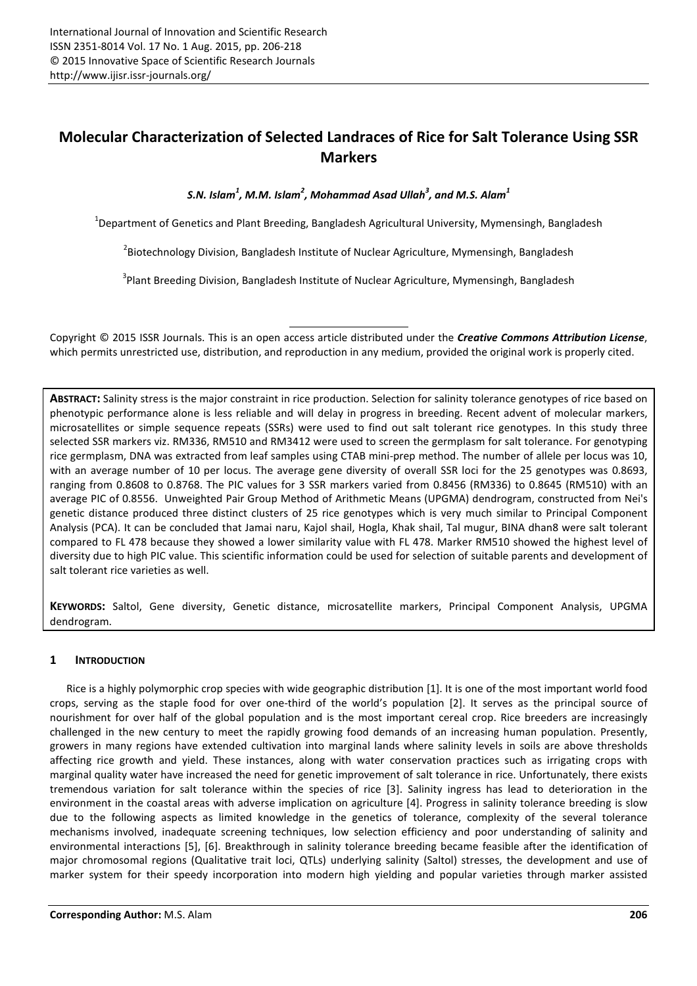# **Molecular Characterization of Selected Landraces of Rice for Salt Tolerance Using SSR Markers**

*S.N. Islam<sup>1</sup> , M.M. Islam<sup>2</sup> , Mohammad Asad Ullah<sup>3</sup> , and M.S. Alam<sup>1</sup>*

<sup>1</sup>Department of Genetics and Plant Breeding, Bangladesh Agricultural University, Mymensingh, Bangladesh

<sup>2</sup>Biotechnology Division, Bangladesh Institute of Nuclear Agriculture, Mymensingh, Bangladesh

<sup>3</sup>Plant Breeding Division, Bangladesh Institute of Nuclear Agriculture, Mymensingh, Bangladesh

Copyright © 2015 ISSR Journals. This is an open access article distributed under the *Creative Commons Attribution License*, which permits unrestricted use, distribution, and reproduction in any medium, provided the original work is properly cited.

**ABSTRACT:** Salinity stress is the major constraint in rice production. Selection for salinity tolerance genotypes of rice based on phenotypic performance alone is less reliable and will delay in progress in breeding. Recent advent of molecular markers, microsatellites or simple sequence repeats (SSRs) were used to find out salt tolerant rice genotypes. In this study three selected SSR markers viz. RM336, RM510 and RM3412 were used to screen the germplasm for salt tolerance. For genotyping rice germplasm, DNA was extracted from leaf samples using CTAB mini-prep method. The number of allele per locus was 10, with an average number of 10 per locus. The average gene diversity of overall SSR loci for the 25 genotypes was 0.8693, ranging from 0.8608 to 0.8768. The PIC values for 3 SSR markers varied from 0.8456 (RM336) to 0.8645 (RM510) with an average PIC of 0.8556. Unweighted Pair Group Method of Arithmetic Means (UPGMA) dendrogram, constructed from Nei's genetic distance produced three distinct clusters of 25 rice genotypes which is very much similar to Principal Component Analysis (PCA). It can be concluded that Jamai naru, Kajol shail, Hogla, Khak shail, Tal mugur, BINA dhan8 were salt tolerant compared to FL 478 because they showed a lower similarity value with FL 478. Marker RM510 showed the highest level of diversity due to high PIC value. This scientific information could be used for selection of suitable parents and development of salt tolerant rice varieties as well.

**KEYWORDS:** Saltol, Gene diversity, Genetic distance, microsatellite markers, Principal Component Analysis, UPGMA dendrogram.

# **1 INTRODUCTION**

Rice is a highly polymorphic crop species with wide geographic distribution [1]. It is one of the most important world food crops, serving as the staple food for over one-third of the world's population [2]. It serves as the principal source of nourishment for over half of the global population and is the most important cereal crop. Rice breeders are increasingly challenged in the new century to meet the rapidly growing food demands of an increasing human population. Presently, growers in many regions have extended cultivation into marginal lands where salinity levels in soils are above thresholds affecting rice growth and yield. These instances, along with water conservation practices such as irrigating crops with marginal quality water have increased the need for genetic improvement of salt tolerance in rice. Unfortunately, there exists tremendous variation for salt tolerance within the species of rice [3]. Salinity ingress has lead to deterioration in the environment in the coastal areas with adverse implication on agriculture [4]. Progress in salinity tolerance breeding is slow due to the following aspects as limited knowledge in the genetics of tolerance, complexity of the several tolerance mechanisms involved, inadequate screening techniques, low selection efficiency and poor understanding of salinity and environmental interactions [5], [6]. Breakthrough in salinity tolerance breeding became feasible after the identification of major chromosomal regions (Qualitative trait loci, QTLs) underlying salinity (Saltol) stresses, the development and use of marker system for their speedy incorporation into modern high yielding and popular varieties through marker assisted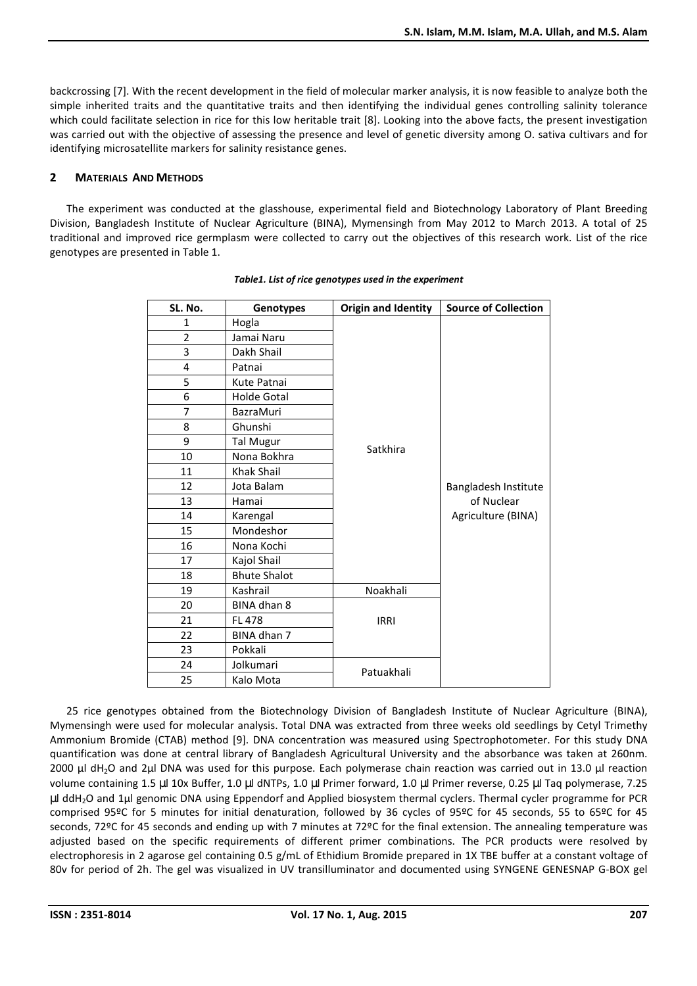backcrossing [7]. With the recent development in the field of molecular marker analysis, it is now feasible to analyze both the simple inherited traits and the quantitative traits and then identifying the individual genes controlling salinity tolerance which could facilitate selection in rice for this low heritable trait [8]. Looking into the above facts, the present investigation was carried out with the objective of assessing the presence and level of genetic diversity among O. sativa cultivars and for identifying microsatellite markers for salinity resistance genes.

# **2 MATERIALS AND METHODS**

The experiment was conducted at the glasshouse, experimental field and Biotechnology Laboratory of Plant Breeding Division, Bangladesh Institute of Nuclear Agriculture (BINA), Mymensingh from May 2012 to March 2013. A total of 25 traditional and improved rice germplasm were collected to carry out the objectives of this research work. List of the rice genotypes are presented in Table 1.

| SL. No. | Genotypes           | <b>Origin and Identity</b> | <b>Source of Collection</b>        |  |  |  |  |
|---------|---------------------|----------------------------|------------------------------------|--|--|--|--|
| 1       | Hogla               |                            |                                    |  |  |  |  |
| 2       | Jamai Naru          |                            |                                    |  |  |  |  |
| 3       | Dakh Shail          |                            |                                    |  |  |  |  |
| 4       | Patnai              |                            |                                    |  |  |  |  |
| 5       | Kute Patnai         |                            |                                    |  |  |  |  |
| 6       | <b>Holde Gotal</b>  |                            |                                    |  |  |  |  |
| 7       | <b>BazraMuri</b>    |                            |                                    |  |  |  |  |
| 8       | Ghunshi             |                            |                                    |  |  |  |  |
| 9       | <b>Tal Mugur</b>    | Satkhira                   |                                    |  |  |  |  |
| 10      | Nona Bokhra         |                            |                                    |  |  |  |  |
| 11      | Khak Shail          |                            |                                    |  |  |  |  |
| 12      | Jota Balam          |                            | Bangladesh Institute<br>of Nuclear |  |  |  |  |
| 13      | Hamai               |                            |                                    |  |  |  |  |
| 14      | Karengal            |                            | Agriculture (BINA)                 |  |  |  |  |
| 15      | Mondeshor           |                            |                                    |  |  |  |  |
| 16      | Nona Kochi          |                            |                                    |  |  |  |  |
| 17      | Kajol Shail         |                            |                                    |  |  |  |  |
| 18      | <b>Bhute Shalot</b> |                            |                                    |  |  |  |  |
| 19      | Kashrail            | Noakhali                   |                                    |  |  |  |  |
| 20      | BINA dhan 8         |                            |                                    |  |  |  |  |
| 21      | <b>FL 478</b>       | <b>IRRI</b>                |                                    |  |  |  |  |
| 22      | BINA dhan 7         |                            |                                    |  |  |  |  |
| 23      | Pokkali             |                            |                                    |  |  |  |  |
| 24      | Jolkumari           |                            |                                    |  |  |  |  |
| 25      | Kalo Mota           | Patuakhali                 |                                    |  |  |  |  |

### *Table1. List of rice genotypes used in the experiment*

25 rice genotypes obtained from the Biotechnology Division of Bangladesh Institute of Nuclear Agriculture (BINA), Mymensingh were used for molecular analysis. Total DNA was extracted from three weeks old seedlings by Cetyl Trimethy Ammonium Bromide (CTAB) method [9]. DNA concentration was measured using Spectrophotometer. For this study DNA quantification was done at central library of Bangladesh Agricultural University and the absorbance was taken at 260nm. 2000 µl dH<sub>2</sub>O and 2µl DNA was used for this purpose. Each polymerase chain reaction was carried out in 13.0 µl reaction volume containing 1.5 µl 10x Buffer, 1.0 µl dNTPs, 1.0 µl Primer forward, 1.0 µl Primer reverse, 0.25 µl Taq polymerase, 7.25 µl ddH2O and 1µl genomic DNA using Eppendorf and Applied biosystem thermal cyclers. Thermal cycler programme for PCR comprised 95ºC for 5 minutes for initial denaturation, followed by 36 cycles of 95ºC for 45 seconds, 55 to 65ºC for 45 seconds, 72ºC for 45 seconds and ending up with 7 minutes at 72ºC for the final extension. The annealing temperature was adjusted based on the specific requirements of different primer combinations. The PCR products were resolved by electrophoresis in 2 agarose gel containing 0.5 g/mL of Ethidium Bromide prepared in 1X TBE buffer at a constant voltage of 80v for period of 2h. The gel was visualized in UV transilluminator and documented using SYNGENE GENESNAP G-BOX gel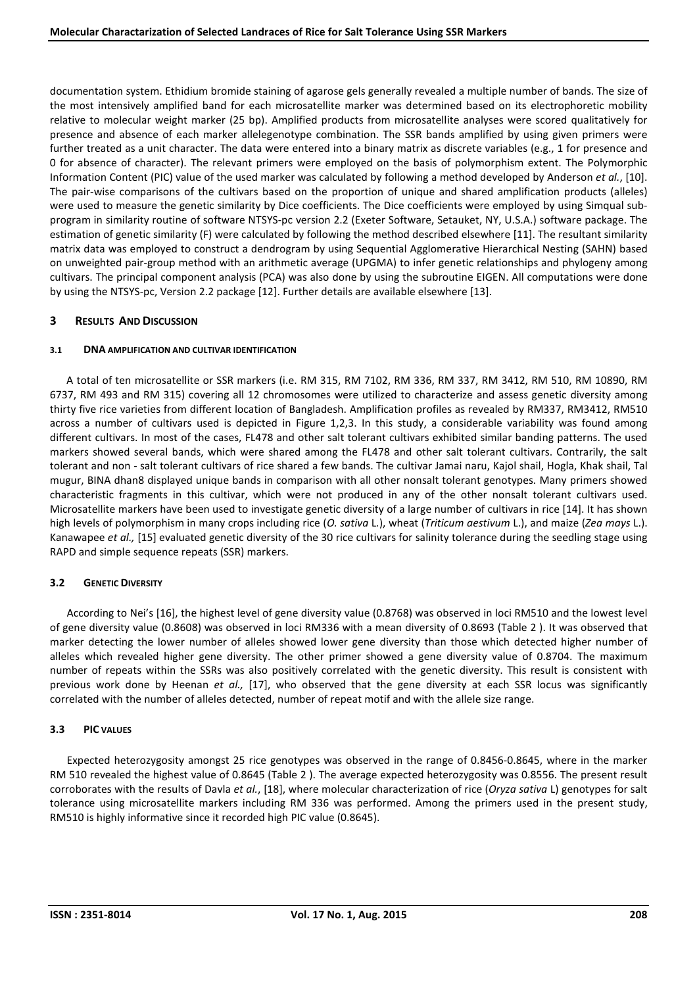documentation system. Ethidium bromide staining of agarose gels generally revealed a multiple number of bands. The size of the most intensively amplified band for each microsatellite marker was determined based on its electrophoretic mobility relative to molecular weight marker (25 bp). Amplified products from microsatellite analyses were scored qualitatively for presence and absence of each marker allelegenotype combination. The SSR bands amplified by using given primers were further treated as a unit character. The data were entered into a binary matrix as discrete variables (e.g., 1 for presence and 0 for absence of character). The relevant primers were employed on the basis of polymorphism extent. The Polymorphic Information Content (PIC) value of the used marker was calculated by following a method developed by Anderson *et al.*, [10]. The pair-wise comparisons of the cultivars based on the proportion of unique and shared amplification products (alleles) were used to measure the genetic similarity by Dice coefficients. The Dice coefficients were employed by using Simqual subprogram in similarity routine of software NTSYS-pc version 2.2 (Exeter Software, Setauket, NY, U.S.A.) software package. The estimation of genetic similarity (F) were calculated by following the method described elsewhere [11]. The resultant similarity matrix data was employed to construct a dendrogram by using Sequential Agglomerative Hierarchical Nesting (SAHN) based on unweighted pair-group method with an arithmetic average (UPGMA) to infer genetic relationships and phylogeny among cultivars. The principal component analysis (PCA) was also done by using the subroutine EIGEN. All computations were done by using the NTSYS-pc, Version 2.2 package [12]. Further details are available elsewhere [13].

# **3 RESULTS AND DISCUSSION**

## **3.1 DNA AMPLIFICATION AND CULTIVAR IDENTIFICATION**

A total of ten microsatellite or SSR markers (i.e. RM 315, RM 7102, RM 336, RM 337, RM 3412, RM 510, RM 10890, RM 6737, RM 493 and RM 315) covering all 12 chromosomes were utilized to characterize and assess genetic diversity among thirty five rice varieties from different location of Bangladesh. Amplification profiles as revealed by RM337, RM3412, RM510 across a number of cultivars used is depicted in Figure 1,2,3. In this study, a considerable variability was found among different cultivars. In most of the cases, FL478 and other salt tolerant cultivars exhibited similar banding patterns. The used markers showed several bands, which were shared among the FL478 and other salt tolerant cultivars. Contrarily, the salt tolerant and non - salt tolerant cultivars of rice shared a few bands. The cultivar Jamai naru, Kajol shail, Hogla, Khak shail, Tal mugur, BINA dhan8 displayed unique bands in comparison with all other nonsalt tolerant genotypes. Many primers showed characteristic fragments in this cultivar, which were not produced in any of the other nonsalt tolerant cultivars used. Microsatellite markers have been used to investigate genetic diversity of a large number of cultivars in rice [14]. It has shown high levels of polymorphism in many crops including rice (*O. sativa* L*.*), wheat (*Triticum aestivum* L.), and maize (*Zea mays* L.). Kanawapee *et al.,* [15] evaluated genetic diversity of the 30 rice cultivars for salinity tolerance during the seedling stage using RAPD and simple sequence repeats (SSR) markers.

# **3.2 GENETIC DIVERSITY**

According to Nei's [16], the highest level of gene diversity value (0.8768) was observed in loci RM510 and the lowest level of gene diversity value (0.8608) was observed in loci RM336 with a mean diversity of 0.8693 (Table 2 ). It was observed that marker detecting the lower number of alleles showed lower gene diversity than those which detected higher number of alleles which revealed higher gene diversity. The other primer showed a gene diversity value of 0.8704. The maximum number of repeats within the SSRs was also positively correlated with the genetic diversity. This result is consistent with previous work done by Heenan *et al.,* [17], who observed that the gene diversity at each SSR locus was significantly correlated with the number of alleles detected, number of repeat motif and with the allele size range.

### **3.3 PIC VALUES**

Expected heterozygosity amongst 25 rice genotypes was observed in the range of 0.8456-0.8645, where in the marker RM 510 revealed the highest value of 0.8645 (Table 2 ). The average expected heterozygosity was 0.8556. The present result corroborates with the results of Davla *et al.*, [18], where molecular characterization of rice (*Oryza sativa* L) genotypes for salt tolerance using microsatellite markers including RM 336 was performed. Among the primers used in the present study, RM510 is highly informative since it recorded high PIC value (0.8645).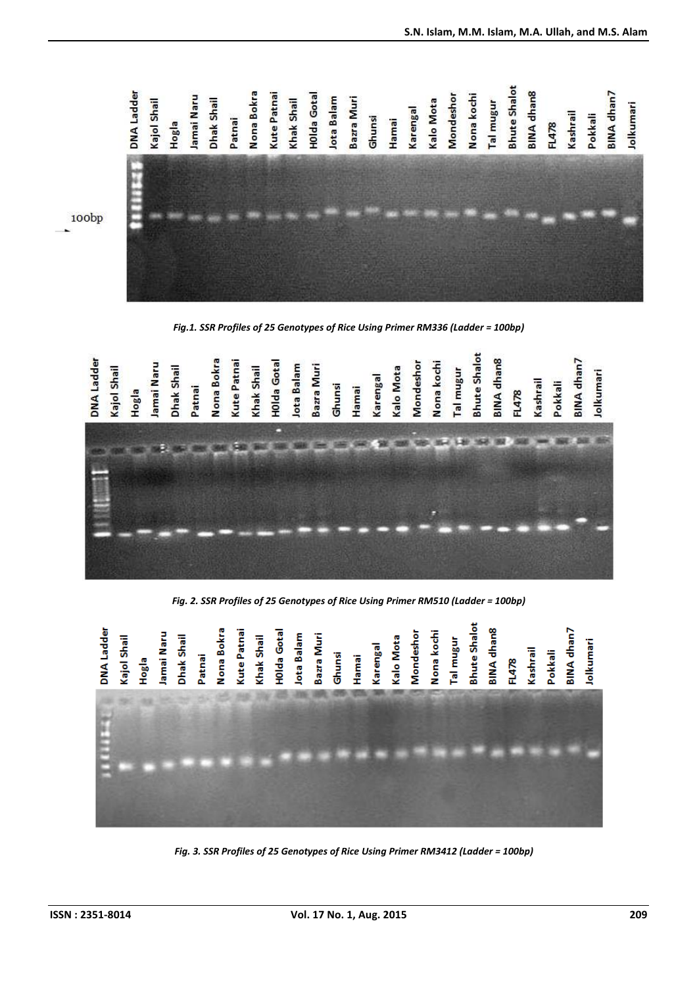

*Fig.1. SSR Profiles of 25 Genotypes of Rice Using Primer RM336 (Ladder = 100bp)* 



*Fig. 2. SSR Profiles of 25 Genotypes of Rice Using Primer RM510 (Ladder = 100bp)* 



 *Fig. 3. SSR Profiles of 25 Genotypes of Rice Using Primer RM3412 (Ladder = 100bp)*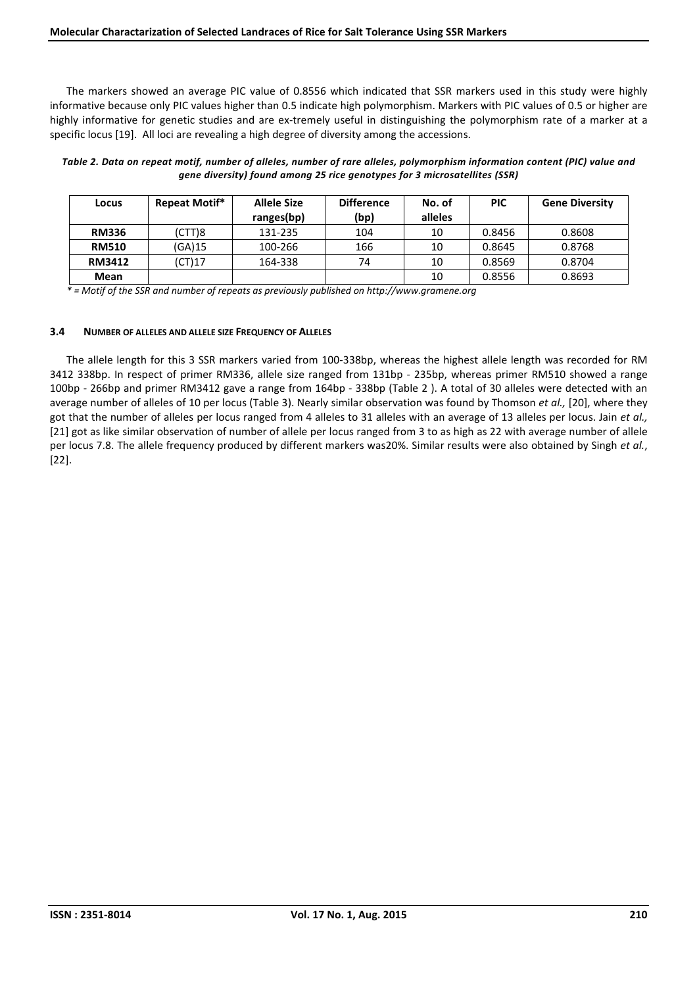The markers showed an average PIC value of 0.8556 which indicated that SSR markers used in this study were highly informative because only PIC values higher than 0.5 indicate high polymorphism. Markers with PIC values of 0.5 or higher are highly informative for genetic studies and are ex-tremely useful in distinguishing the polymorphism rate of a marker at a specific locus [19]. All loci are revealing a high degree of diversity among the accessions.

#### *Table 2. Data on repeat motif, number of alleles, number of rare alleles, polymorphism information content (PIC) value and gene diversity) found among 25 rice genotypes for 3 microsatellites (SSR)*

| Locus         | Repeat Motif* | Allele Size<br>ranges(bp) | <b>Difference</b><br>(bp) | No. of<br>alleles | <b>PIC</b> | <b>Gene Diversity</b> |
|---------------|---------------|---------------------------|---------------------------|-------------------|------------|-----------------------|
| <b>RM336</b>  | (CTT)8        | 131-235                   | 104                       | 10                | 0.8456     | 0.8608                |
| <b>RM510</b>  | (GA)15        | 100-266                   | 166                       | 10                | 0.8645     | 0.8768                |
| <b>RM3412</b> | CT)17         | 164-338                   | 74                        | 10                | 0.8569     | 0.8704                |
| Mean          |               |                           |                           | 10                | 0.8556     | 0.8693                |

*\* = Motif of the SSR and number of repeats as previously published on http://www.gramene.org* 

### **3.4 NUMBER OF ALLELES AND ALLELE SIZE FREQUENCY OF ALLELES**

The allele length for this 3 SSR markers varied from 100-338bp, whereas the highest allele length was recorded for RM 3412 338bp. In respect of primer RM336, allele size ranged from 131bp - 235bp, whereas primer RM510 showed a range 100bp - 266bp and primer RM3412 gave a range from 164bp - 338bp (Table 2 ). A total of 30 alleles were detected with an average number of alleles of 10 per locus (Table 3). Nearly similar observation was found by Thomson *et al.,* [20], where they got that the number of alleles per locus ranged from 4 alleles to 31 alleles with an average of 13 alleles per locus. Jain *et al.,* [21] got as like similar observation of number of allele per locus ranged from 3 to as high as 22 with average number of allele per locus 7.8. The allele frequency produced by different markers was20%. Similar results were also obtained by Singh *et al.*, [22].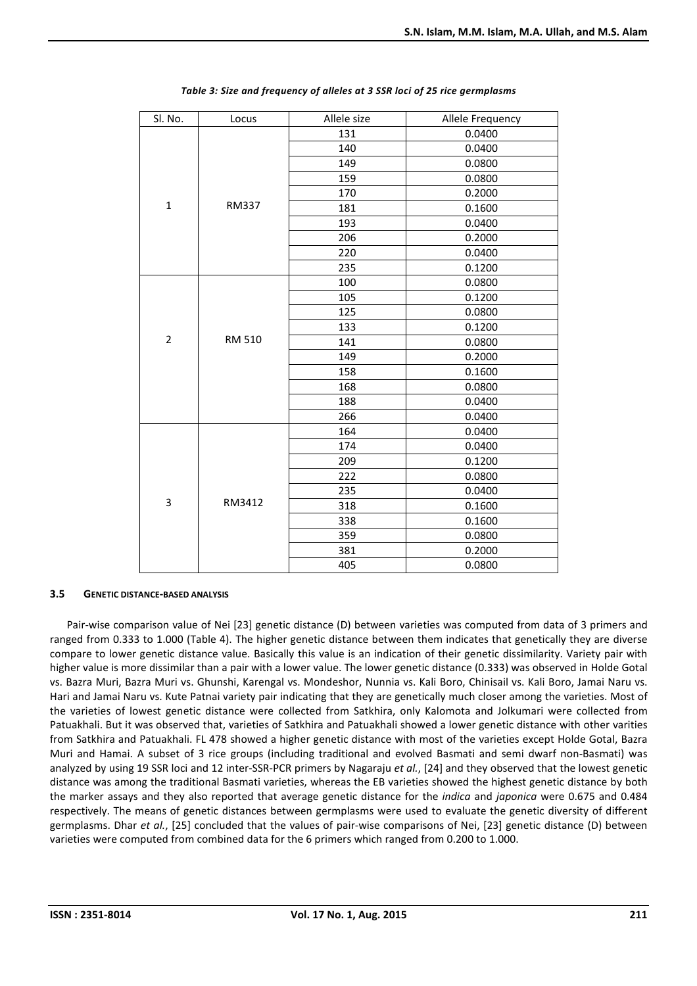| Sl. No.        | Locus  | Allele size | Allele Frequency |
|----------------|--------|-------------|------------------|
|                |        | 131         | 0.0400           |
|                |        | 140         | 0.0400           |
|                |        | 149         | 0.0800           |
| $\mathbf 1$    |        | 159         | 0.0800           |
|                |        | 170         | 0.2000           |
|                | RM337  | 181         | 0.1600           |
|                |        | 193         | 0.0400           |
|                |        | 206         | 0.2000           |
|                |        | 220         | 0.0400           |
|                |        | 235         | 0.1200           |
|                |        | 100         | 0.0800           |
| $\overline{2}$ |        | 105         | 0.1200           |
|                |        | 125         | 0.0800           |
|                |        | 133         | 0.1200           |
|                | RM 510 | 141         | 0.0800           |
|                |        | 149         | 0.2000           |
|                |        | 158         | 0.1600           |
|                |        | 168         | 0.0800           |
|                |        | 188         | 0.0400           |
|                |        | 266         | 0.0400           |
|                |        | 164         | 0.0400           |
|                |        | 174         | 0.0400           |
|                |        | 209         | 0.1200           |
|                |        | 222         | 0.0800           |
|                |        | 235         | 0.0400           |
| 3              | RM3412 | 318         | 0.1600           |
|                |        | 338         | 0.1600           |
|                |        | 359         | 0.0800           |
|                |        | 381         | 0.2000           |
|                |        | 405         | 0.0800           |

| Table 3: Size and frequency of alleles at 3 SSR loci of 25 rice germplasms |  |  |
|----------------------------------------------------------------------------|--|--|
|----------------------------------------------------------------------------|--|--|

### **3.5 GENETIC DISTANCE-BASED ANALYSIS**

Pair-wise comparison value of Nei [23] genetic distance (D) between varieties was computed from data of 3 primers and ranged from 0.333 to 1.000 (Table 4). The higher genetic distance between them indicates that genetically they are diverse compare to lower genetic distance value. Basically this value is an indication of their genetic dissimilarity. Variety pair with higher value is more dissimilar than a pair with a lower value. The lower genetic distance (0.333) was observed in Holde Gotal vs. Bazra Muri, Bazra Muri vs. Ghunshi, Karengal vs. Mondeshor, Nunnia vs. Kali Boro, Chinisail vs. Kali Boro, Jamai Naru vs. Hari and Jamai Naru vs. Kute Patnai variety pair indicating that they are genetically much closer among the varieties. Most of the varieties of lowest genetic distance were collected from Satkhira, only Kalomota and Jolkumari were collected from Patuakhali. But it was observed that, varieties of Satkhira and Patuakhali showed a lower genetic distance with other varities from Satkhira and Patuakhali. FL 478 showed a higher genetic distance with most of the varieties except Holde Gotal, Bazra Muri and Hamai. A subset of 3 rice groups (including traditional and evolved Basmati and semi dwarf non-Basmati) was analyzed by using 19 SSR loci and 12 inter-SSR-PCR primers by Nagaraju *et al.*, [24] and they observed that the lowest genetic distance was among the traditional Basmati varieties, whereas the EB varieties showed the highest genetic distance by both the marker assays and they also reported that average genetic distance for the *indica* and *japonica* were 0.675 and 0.484 respectively. The means of genetic distances between germplasms were used to evaluate the genetic diversity of different germplasms. Dhar *et al.*, [25] concluded that the values of pair-wise comparisons of Nei, [23] genetic distance (D) between varieties were computed from combined data for the 6 primers which ranged from 0.200 to 1.000.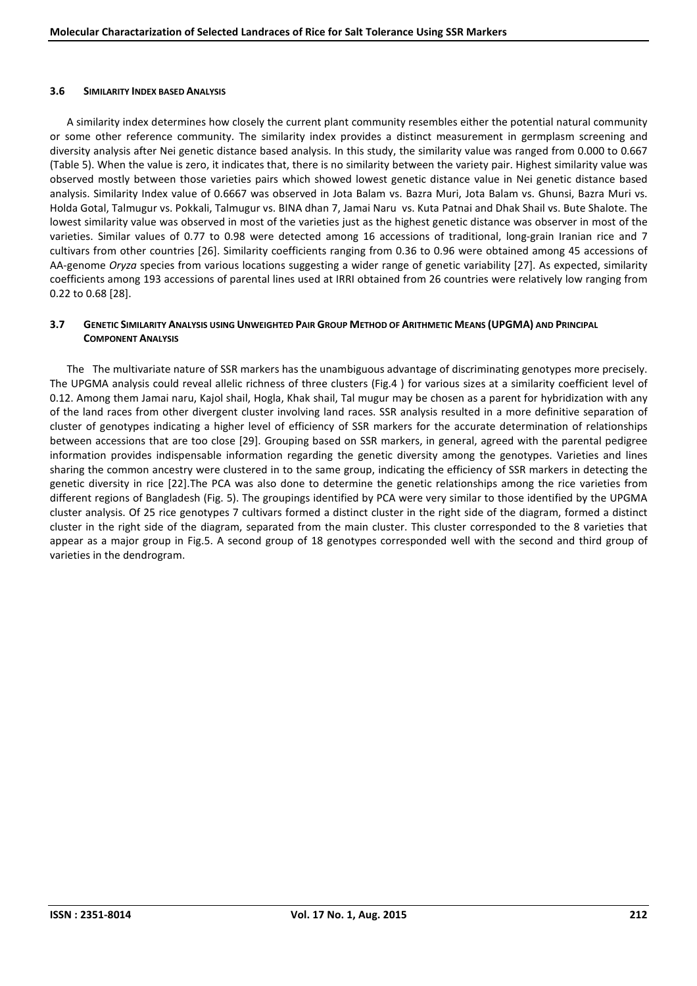#### **3.6 SIMILARITY INDEX BASED ANALYSIS**

A similarity index determines how closely the current plant community resembles either the potential natural community or some other reference community. The similarity index provides a distinct measurement in germplasm screening and diversity analysis after Nei genetic distance based analysis. In this study, the similarity value was ranged from 0.000 to 0.667 (Table 5). When the value is zero, it indicates that, there is no similarity between the variety pair. Highest similarity value was observed mostly between those varieties pairs which showed lowest genetic distance value in Nei genetic distance based analysis. Similarity Index value of 0.6667 was observed in Jota Balam vs. Bazra Muri, Jota Balam vs. Ghunsi, Bazra Muri vs. Holda Gotal, Talmugur vs. Pokkali, Talmugur vs. BINA dhan 7, Jamai Naru vs. Kuta Patnai and Dhak Shail vs. Bute Shalote. The lowest similarity value was observed in most of the varieties just as the highest genetic distance was observer in most of the varieties. Similar values of 0.77 to 0.98 were detected among 16 accessions of traditional, long-grain Iranian rice and 7 cultivars from other countries [26]. Similarity coefficients ranging from 0.36 to 0.96 were obtained among 45 accessions of AA-genome *Oryza* species from various locations suggesting a wider range of genetic variability [27]. As expected, similarity coefficients among 193 accessions of parental lines used at IRRI obtained from 26 countries were relatively low ranging from 0.22 to 0.68 [28].

## 3.7 GENETIC SIMILARITY ANALYSIS USING UNWEIGHTED PAIR GROUP METHOD OF ARITHMETIC MEANS (UPGMA) AND PRINCIPAL **COMPONENT ANALYSIS**

The The multivariate nature of SSR markers has the unambiguous advantage of discriminating genotypes more precisely. The UPGMA analysis could reveal allelic richness of three clusters (Fig.4 ) for various sizes at a similarity coefficient level of 0.12. Among them Jamai naru, Kajol shail, Hogla, Khak shail, Tal mugur may be chosen as a parent for hybridization with any of the land races from other divergent cluster involving land races. SSR analysis resulted in a more definitive separation of cluster of genotypes indicating a higher level of efficiency of SSR markers for the accurate determination of relationships between accessions that are too close [29]. Grouping based on SSR markers, in general, agreed with the parental pedigree information provides indispensable information regarding the genetic diversity among the genotypes. Varieties and lines sharing the common ancestry were clustered in to the same group, indicating the efficiency of SSR markers in detecting the genetic diversity in rice [22].The PCA was also done to determine the genetic relationships among the rice varieties from different regions of Bangladesh (Fig. 5). The groupings identified by PCA were very similar to those identified by the UPGMA cluster analysis. Of 25 rice genotypes 7 cultivars formed a distinct cluster in the right side of the diagram, formed a distinct cluster in the right side of the diagram, separated from the main cluster. This cluster corresponded to the 8 varieties that appear as a major group in Fig.5. A second group of 18 genotypes corresponded well with the second and third group of varieties in the dendrogram.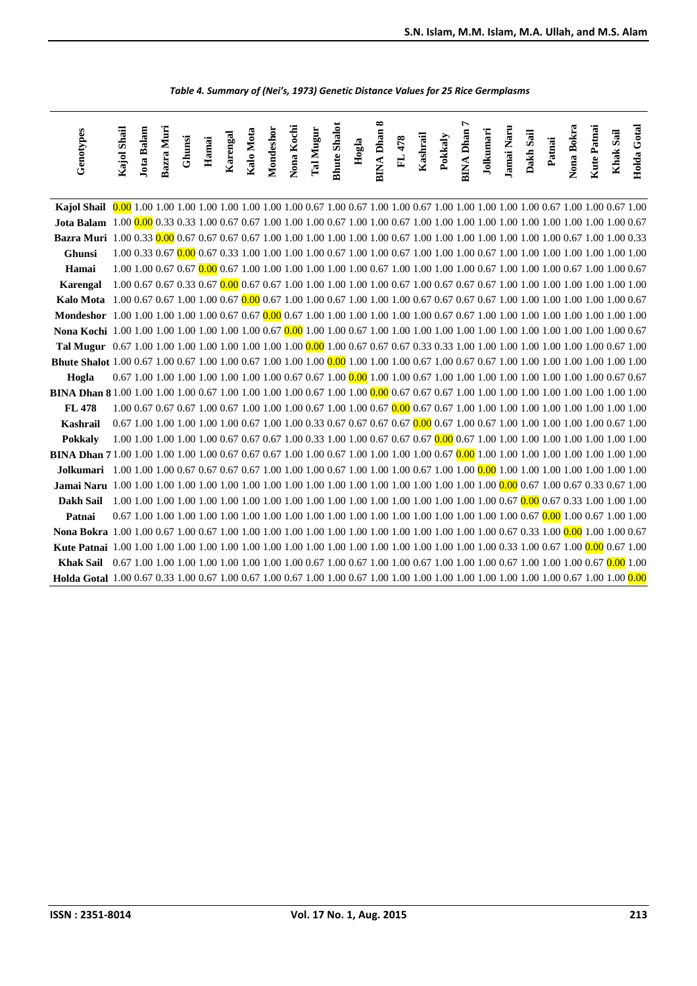| Genotypes                                                                                                                                    | Kajol Shail | <b>Jota Balam</b> | Bazra Muri | Ghunsi | Hamai | Karengal | Kalo Mota                                                                                                                    | Mondeshor | Nona Kochi | <b>Tal Mugur</b> | <b>Bhute Shalot</b> | Hogla | ∞<br><b>BINA Dhan</b> | FL 478 | Kashrail | Pokkaly | r<br><b>BINA Dhan</b> | Jolkumari | Jamai Naru | Dakh Sail | Patnai | Nona Bokra | <b>Kute Patnai</b> | Khak Sail | Holda Gotal |
|----------------------------------------------------------------------------------------------------------------------------------------------|-------------|-------------------|------------|--------|-------|----------|------------------------------------------------------------------------------------------------------------------------------|-----------|------------|------------------|---------------------|-------|-----------------------|--------|----------|---------|-----------------------|-----------|------------|-----------|--------|------------|--------------------|-----------|-------------|
|                                                                                                                                              |             |                   |            |        |       |          |                                                                                                                              |           |            |                  |                     |       |                       |        |          |         |                       |           |            |           |        |            |                    |           |             |
|                                                                                                                                              |             |                   |            |        |       |          |                                                                                                                              |           |            |                  |                     |       |                       |        |          |         |                       |           |            |           |        |            |                    |           |             |
| Bazra Muri 1.00 0.33 0.00 0.67 0.67 0.67 1.00 1.00 1.00 1.00 1.00 1.00 0.67 1.00 1.00 1.00 1.00 1.00 1.00 1.00 0.67 1.00 0.67 1.00 1.00 0.33 |             |                   |            |        |       |          |                                                                                                                              |           |            |                  |                     |       |                       |        |          |         |                       |           |            |           |        |            |                    |           |             |
| <b>Ghunsi</b>                                                                                                                                |             |                   |            |        |       |          |                                                                                                                              |           |            |                  |                     |       |                       |        |          |         |                       |           |            |           |        |            |                    |           |             |
| Hamai                                                                                                                                        |             |                   |            |        |       |          | 1.00 1.00 0.67 0.67 0.00 0.67 1.00 1.00 1.00 1.00 1.00 0.67 1.00 1.00 1.00 1.00 0.67 1.00 1.00 1.00 0.67 1.00 0.67           |           |            |                  |                     |       |                       |        |          |         |                       |           |            |           |        |            |                    |           |             |
| Karengal                                                                                                                                     |             |                   |            |        |       |          |                                                                                                                              |           |            |                  |                     |       |                       |        |          |         |                       |           |            |           |        |            |                    |           |             |
| Kalo Mota                                                                                                                                    |             |                   |            |        |       |          | 1.00 0.67 0.67 0.67 1.00 1.00 0.67 0.00 0.67 1.00 1.00 0.67 1.00 1.00 1.00 0.67 0.67 0.67 0.67 1.00 1.00 1.00 1.00 1.00 0.67 |           |            |                  |                     |       |                       |        |          |         |                       |           |            |           |        |            |                    |           |             |
|                                                                                                                                              |             |                   |            |        |       |          |                                                                                                                              |           |            |                  |                     |       |                       |        |          |         |                       |           |            |           |        |            |                    |           |             |
|                                                                                                                                              |             |                   |            |        |       |          |                                                                                                                              |           |            |                  |                     |       |                       |        |          |         |                       |           |            |           |        |            |                    |           |             |
|                                                                                                                                              |             |                   |            |        |       |          |                                                                                                                              |           |            |                  |                     |       |                       |        |          |         |                       |           |            |           |        |            |                    |           |             |
|                                                                                                                                              |             |                   |            |        |       |          |                                                                                                                              |           |            |                  |                     |       |                       |        |          |         |                       |           |            |           |        |            |                    |           |             |
| Hogla                                                                                                                                        |             |                   |            |        |       |          |                                                                                                                              |           |            |                  |                     |       |                       |        |          |         |                       |           |            |           |        |            |                    |           |             |
|                                                                                                                                              |             |                   |            |        |       |          |                                                                                                                              |           |            |                  |                     |       |                       |        |          |         |                       |           |            |           |        |            |                    |           |             |
| <b>FL 478</b>                                                                                                                                |             |                   |            |        |       |          |                                                                                                                              |           |            |                  |                     |       |                       |        |          |         |                       |           |            |           |        |            |                    |           |             |
| <b>Kashrail</b>                                                                                                                              |             |                   |            |        |       |          | 0.67 1.00 1.00 1.00 1.00 1.00 1.00 0.67 1.00 1.00 0.33 0.67 0.67 0.67 0.67 0.00 0.67 1.00 0.67 1.00 1.00 1.00 1.00 0.67 1.00 |           |            |                  |                     |       |                       |        |          |         |                       |           |            |           |        |            |                    |           |             |
| Pokkaly                                                                                                                                      |             |                   |            |        |       |          |                                                                                                                              |           |            |                  |                     |       |                       |        |          |         |                       |           |            |           |        |            |                    |           |             |
|                                                                                                                                              |             |                   |            |        |       |          |                                                                                                                              |           |            |                  |                     |       |                       |        |          |         |                       |           |            |           |        |            |                    |           |             |
|                                                                                                                                              |             |                   |            |        |       |          |                                                                                                                              |           |            |                  |                     |       |                       |        |          |         |                       |           |            |           |        |            |                    |           |             |
|                                                                                                                                              |             |                   |            |        |       |          |                                                                                                                              |           |            |                  |                     |       |                       |        |          |         |                       |           |            |           |        |            |                    |           |             |
| Dakh Sail                                                                                                                                    |             |                   |            |        |       |          |                                                                                                                              |           |            |                  |                     |       |                       |        |          |         |                       |           |            |           |        |            |                    |           |             |
| Patnai                                                                                                                                       |             |                   |            |        |       |          |                                                                                                                              |           |            |                  |                     |       |                       |        |          |         |                       |           |            |           |        |            |                    |           |             |
|                                                                                                                                              |             |                   |            |        |       |          |                                                                                                                              |           |            |                  |                     |       |                       |        |          |         |                       |           |            |           |        |            |                    |           |             |
|                                                                                                                                              |             |                   |            |        |       |          |                                                                                                                              |           |            |                  |                     |       |                       |        |          |         |                       |           |            |           |        |            |                    |           |             |
|                                                                                                                                              |             |                   |            |        |       |          |                                                                                                                              |           |            |                  |                     |       |                       |        |          |         |                       |           |            |           |        |            |                    |           |             |
|                                                                                                                                              |             |                   |            |        |       |          |                                                                                                                              |           |            |                  |                     |       |                       |        |          |         |                       |           |            |           |        |            |                    |           |             |

 *Table 4. Summary of (Nei's, 1973) Genetic Distance Values for 25 Rice Germplasms*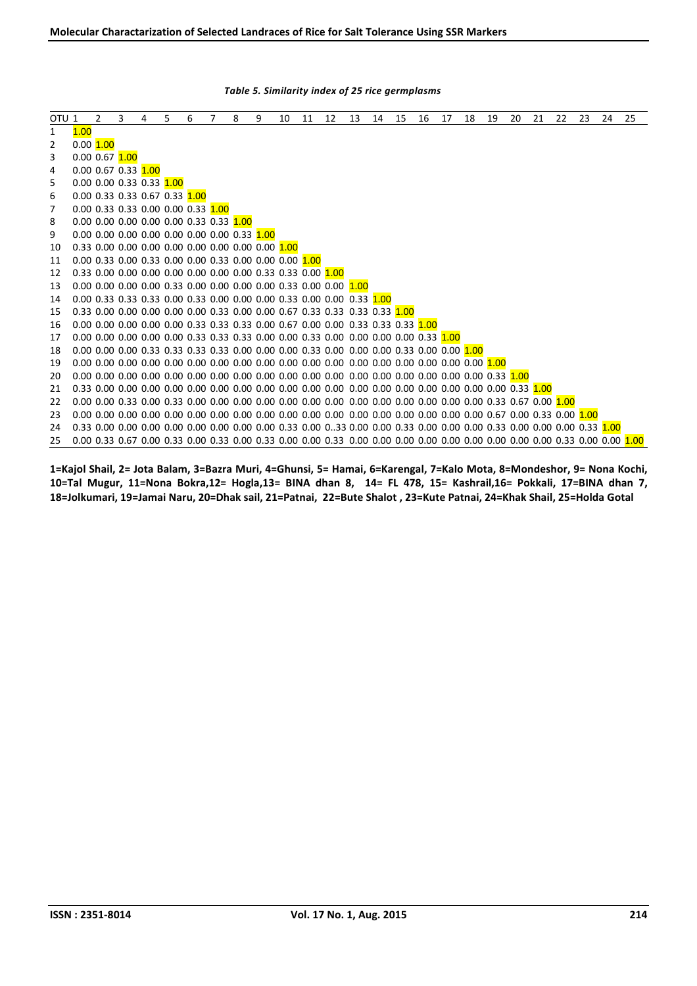| OTU <sub>1</sub> |         | $\overline{2}$      | $\overline{3}$ | 4                                                                            | 5 | 6 | $\overline{7}$ | 8 | 9 | 10 | 11 | 12                                                                                                           | 13 | 14 | 15 | 16 | 17 | 18 | 19 | 20 | 21 | 22 | 23 | 24 | 25                                                                                                                      |
|------------------|---------|---------------------|----------------|------------------------------------------------------------------------------|---|---|----------------|---|---|----|----|--------------------------------------------------------------------------------------------------------------|----|----|----|----|----|----|----|----|----|----|----|----|-------------------------------------------------------------------------------------------------------------------------|
| 1                | 1.00    |                     |                |                                                                              |   |   |                |   |   |    |    |                                                                                                              |    |    |    |    |    |    |    |    |    |    |    |    |                                                                                                                         |
| $\overline{c}$   | 0.00100 |                     |                |                                                                              |   |   |                |   |   |    |    |                                                                                                              |    |    |    |    |    |    |    |    |    |    |    |    |                                                                                                                         |
| 3                |         | 0.00 0.67 1.00      |                |                                                                              |   |   |                |   |   |    |    |                                                                                                              |    |    |    |    |    |    |    |    |    |    |    |    |                                                                                                                         |
| 4                |         | 0.00 0.67 0.33 1.00 |                |                                                                              |   |   |                |   |   |    |    |                                                                                                              |    |    |    |    |    |    |    |    |    |    |    |    |                                                                                                                         |
| 5                |         |                     |                | 0.00 0.00 0.33 0.33 1.00                                                     |   |   |                |   |   |    |    |                                                                                                              |    |    |    |    |    |    |    |    |    |    |    |    |                                                                                                                         |
| 6                |         |                     |                | 0.00 0.33 0.33 0.67 0.33 1.00                                                |   |   |                |   |   |    |    |                                                                                                              |    |    |    |    |    |    |    |    |    |    |    |    |                                                                                                                         |
| $\overline{7}$   |         |                     |                | 0.00 0.33 0.33 0.00 0.00 0.33 1.00                                           |   |   |                |   |   |    |    |                                                                                                              |    |    |    |    |    |    |    |    |    |    |    |    |                                                                                                                         |
| 8                |         |                     |                | 0.00 0.00 0.00 0.00 0.00 0.33 0.33 1.00                                      |   |   |                |   |   |    |    |                                                                                                              |    |    |    |    |    |    |    |    |    |    |    |    |                                                                                                                         |
| 9                |         |                     |                | $0.00\,0.00\,0.00\,0.00\,0.00\,0.00\,0.00\,0.33\,1.00$                       |   |   |                |   |   |    |    |                                                                                                              |    |    |    |    |    |    |    |    |    |    |    |    |                                                                                                                         |
| 10               |         |                     |                |                                                                              |   |   |                |   |   |    |    |                                                                                                              |    |    |    |    |    |    |    |    |    |    |    |    |                                                                                                                         |
| 11               |         |                     |                | $0.00$ $0.33$ $0.00$ $0.33$ $0.00$ $0.00$ $0.33$ $0.00$ $0.00$ $0.00$ $1.00$ |   |   |                |   |   |    |    |                                                                                                              |    |    |    |    |    |    |    |    |    |    |    |    |                                                                                                                         |
| 12               |         |                     |                |                                                                              |   |   |                |   |   |    |    |                                                                                                              |    |    |    |    |    |    |    |    |    |    |    |    |                                                                                                                         |
| 13               |         |                     |                |                                                                              |   |   |                |   |   |    |    | $0.00\,0.00\,0.00\,0.00\,0.33\,0.00\,0.00\,0.00\,0.00\,0.33\,0.00\,0.00\,1.00$                               |    |    |    |    |    |    |    |    |    |    |    |    |                                                                                                                         |
| 14               |         |                     |                |                                                                              |   |   |                |   |   |    |    |                                                                                                              |    |    |    |    |    |    |    |    |    |    |    |    |                                                                                                                         |
| 15               |         |                     |                |                                                                              |   |   |                |   |   |    |    | 0.33 0.00 0.00 0.00 0.00 0.00 0.33 0.00 0.00 0.67 0.33 0.33 0.33 0.33 1.00                                   |    |    |    |    |    |    |    |    |    |    |    |    |                                                                                                                         |
| 16               |         |                     |                |                                                                              |   |   |                |   |   |    |    |                                                                                                              |    |    |    |    |    |    |    |    |    |    |    |    |                                                                                                                         |
| 17               |         |                     |                |                                                                              |   |   |                |   |   |    |    | $0.00\,0.00\,0.00\,0.00\,0.00\,0.33\,0.33\,0.33\,0.00\,0.00\,0.33\,0.00\,0.00\,0.00\,0.00\,0.33\,1.00$       |    |    |    |    |    |    |    |    |    |    |    |    |                                                                                                                         |
| 18               |         |                     |                |                                                                              |   |   |                |   |   |    |    | $0.00\,0.00\,0.00\,0.33\,0.33\,0.33\,0.33\,0.00\,0.00\,0.00\,0.33\,0.00\,0.00\,0.00\,0.33\,0.00\,0.00\,1.00$ |    |    |    |    |    |    |    |    |    |    |    |    |                                                                                                                         |
| 19               |         |                     |                |                                                                              |   |   |                |   |   |    |    | $0.00\,0.00\,0.00\,0.00\,0.00\,0.00\,0.00\,0.00\,0.00\,0.00\,0.00\,0.00\,0.00\,0.00\,0.00\,0.00\,0.00\,1.00$ |    |    |    |    |    |    |    |    |    |    |    |    |                                                                                                                         |
| 20               |         |                     |                |                                                                              |   |   |                |   |   |    |    |                                                                                                              |    |    |    |    |    |    |    |    |    |    |    |    |                                                                                                                         |
| 21               |         |                     |                |                                                                              |   |   |                |   |   |    |    |                                                                                                              |    |    |    |    |    |    |    |    |    |    |    |    |                                                                                                                         |
| 22               |         |                     |                |                                                                              |   |   |                |   |   |    |    |                                                                                                              |    |    |    |    |    |    |    |    |    |    |    |    |                                                                                                                         |
| 23               |         |                     |                |                                                                              |   |   |                |   |   |    |    |                                                                                                              |    |    |    |    |    |    |    |    |    |    |    |    |                                                                                                                         |
| 24               |         |                     |                |                                                                              |   |   |                |   |   |    |    |                                                                                                              |    |    |    |    |    |    |    |    |    |    |    |    |                                                                                                                         |
| 25               |         |                     |                |                                                                              |   |   |                |   |   |    |    |                                                                                                              |    |    |    |    |    |    |    |    |    |    |    |    | 0.00 0.33 0.67 0.00 0.33 0.00 0.33 0.00 0.33 0.00 0.00 0.33 0.00 0.00 0.00 0.00 0.00 0.00 0.00 0.00 0.33 0.00 0.00 1.00 |

*Table 5. Similarity index of 25 rice germplasms*

**1=Kajol Shail, 2= Jota Balam, 3=Bazra Muri, 4=Ghunsi, 5= Hamai, 6=Karengal, 7=Kalo Mota, 8=Mondeshor, 9= Nona Kochi, 10=Tal Mugur, 11=Nona Bokra,12= Hogla,13= BINA dhan 8, 14= FL 478, 15= Kashrail,16= Pokkali, 17=BINA dhan 7, 18=Jolkumari, 19=Jamai Naru, 20=Dhak sail, 21=Patnai, 22=Bute Shalot , 23=Kute Patnai, 24=Khak Shail, 25=Holda Gotal**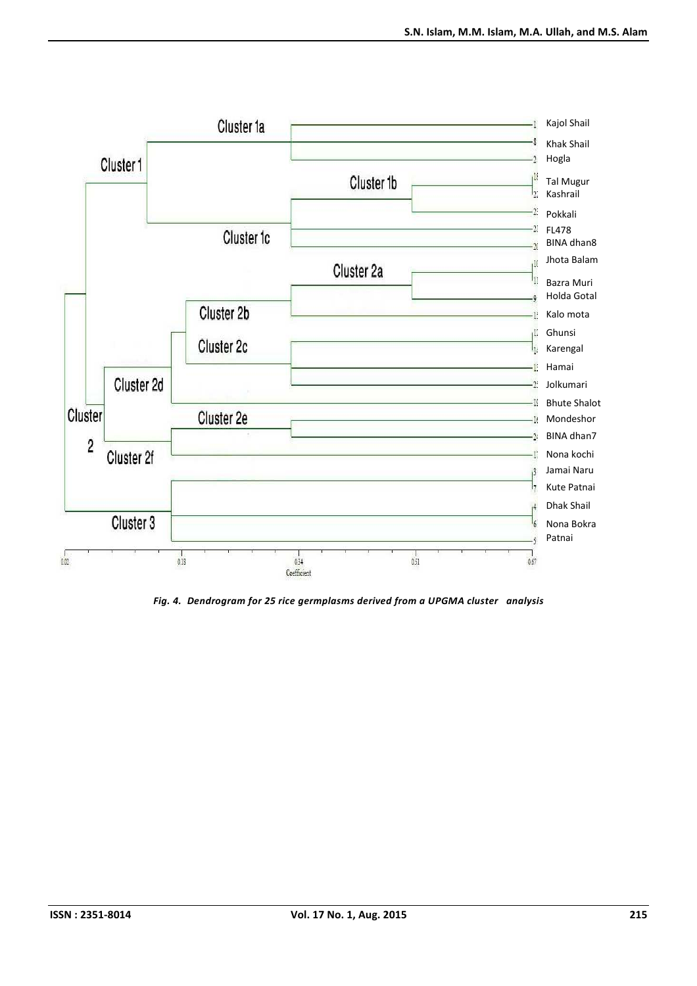

*Fig. 4. Dendrogram for 25 rice germplasms derived from a UPGMA cluster analysis*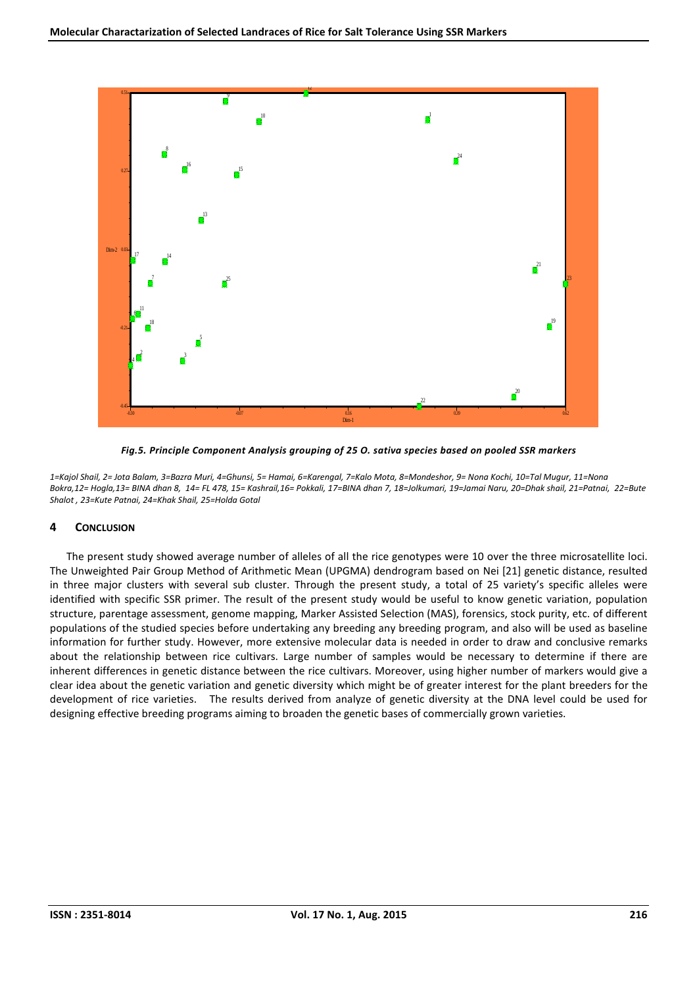

*Fig.5. Principle Component Analysis grouping of 25 O. sativa species based on pooled SSR markers* 

*1=Kajol Shail, 2= Jota Balam, 3=Bazra Muri, 4=Ghunsi, 5= Hamai, 6=Karengal, 7=Kalo Mota, 8=Mondeshor, 9= Nona Kochi, 10=Tal Mugur, 11=Nona Bokra,12= Hogla,13= BINA dhan 8, 14= FL 478, 15= Kashrail,16= Pokkali, 17=BINA dhan 7, 18=Jolkumari, 19=Jamai Naru, 20=Dhak shail, 21=Patnai, 22=Bute Shalot , 23=Kute Patnai, 24=Khak Shail, 25=Holda Gotal* 

# **4 CONCLUSION**

The present study showed average number of alleles of all the rice genotypes were 10 over the three microsatellite loci. The Unweighted Pair Group Method of Arithmetic Mean (UPGMA) dendrogram based on Nei [21] genetic distance, resulted in three major clusters with several sub cluster. Through the present study, a total of 25 variety's specific alleles were identified with specific SSR primer. The result of the present study would be useful to know genetic variation, population structure, parentage assessment, genome mapping, Marker Assisted Selection (MAS), forensics, stock purity, etc. of different populations of the studied species before undertaking any breeding any breeding program, and also will be used as baseline information for further study. However, more extensive molecular data is needed in order to draw and conclusive remarks about the relationship between rice cultivars. Large number of samples would be necessary to determine if there are inherent differences in genetic distance between the rice cultivars. Moreover, using higher number of markers would give a clear idea about the genetic variation and genetic diversity which might be of greater interest for the plant breeders for the development of rice varieties. The results derived from analyze of genetic diversity at the DNA level could be used for designing effective breeding programs aiming to broaden the genetic bases of commercially grown varieties.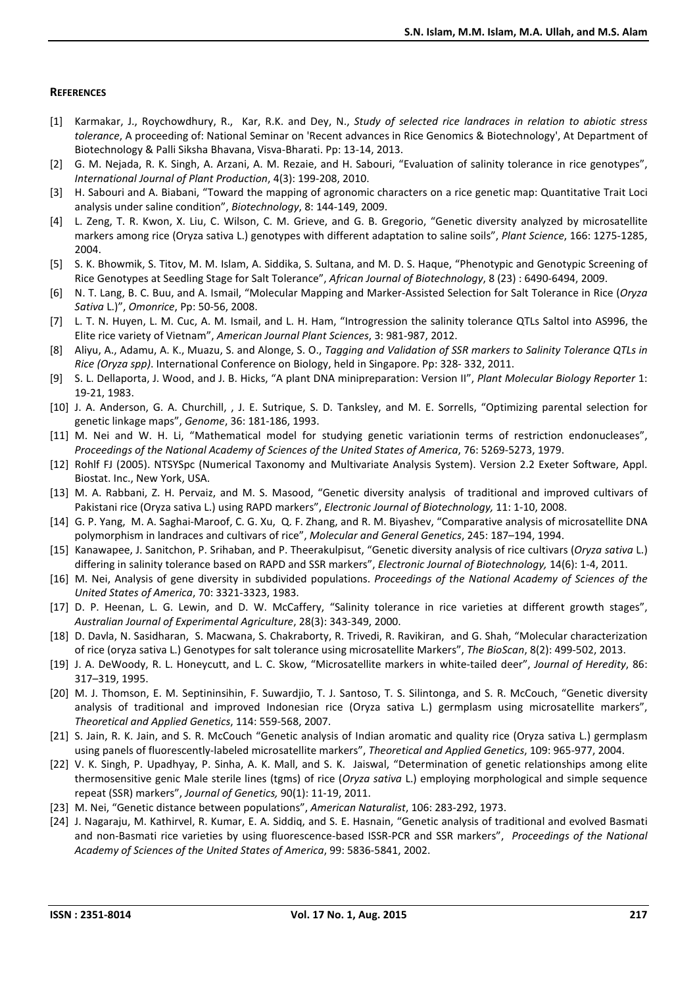#### **REFERENCES**

- [1] Karmakar, J., Roychowdhury, R., Kar, R.K. and Dey, N., *Study of selected rice landraces in relation to abiotic stress tolerance*, A proceeding of: National Seminar on 'Recent advances in Rice Genomics & Biotechnology', At Department of Biotechnology & Palli Siksha Bhavana, Visva-Bharati. Pp: 13-14, 2013.
- [2] G. M. Nejada, R. K. Singh, A. Arzani, A. M. Rezaie, and H. Sabouri, "Evaluation of salinity tolerance in rice genotypes", *International Journal of Plant Production*, 4(3): 199-208, 2010.
- [3] H. Sabouri and A. Biabani, "Toward the mapping of agronomic characters on a rice genetic map: Quantitative Trait Loci analysis under saline condition", *Biotechnology*, 8: 144-149, 2009.
- [4] L. Zeng, T. R. Kwon, X. Liu, C. Wilson, C. M. Grieve, and G. B. Gregorio, "Genetic diversity analyzed by microsatellite markers among rice (Oryza sativa L.) genotypes with different adaptation to saline soils", *Plant Science*, 166: 1275-1285, 2004.
- [5] S. K. Bhowmik, S. Titov, M. M. Islam, A. Siddika, S. Sultana, and M. D. S. Haque, "Phenotypic and Genotypic Screening of Rice Genotypes at Seedling Stage for Salt Tolerance", *African Journal of Biotechnology*, 8 (23) : 6490-6494, 2009.
- [6] N. T. Lang, B. C. Buu, and A. Ismail, "Molecular Mapping and Marker-Assisted Selection for Salt Tolerance in Rice (*Oryza Sativa* L.)", *Omonrice*, Pp: 50-56, 2008.
- [7] L. T. N. Huyen, L. M. Cuc, A. M. Ismail, and L. H. Ham, "Introgression the salinity tolerance QTLs Saltol into AS996, the Elite rice variety of Vietnam", *American Journal Plant Sciences*, 3: 981-987, 2012.
- [8] Aliyu, A., Adamu, A. K., Muazu, S. and Alonge, S. O., *Tagging and Validation of SSR markers to Salinity Tolerance QTLs in Rice (Oryza spp)*. International Conference on Biology, held in Singapore. Pp: 328- 332, 2011.
- [9] S. L. Dellaporta, J. Wood, and J. B. Hicks, "A plant DNA minipreparation: Version II", *Plant Molecular Biology Reporter* 1: 19-21, 1983.
- [10] J. A. Anderson, G. A. Churchill, , J. E. Sutrique, S. D. Tanksley, and M. E. Sorrells, "Optimizing parental selection for genetic linkage maps", *Genome*, 36: 181-186, 1993.
- [11] M. Nei and W. H. Li, "Mathematical model for studying genetic variationin terms of restriction endonucleases", *Proceedings of the National Academy of Sciences of the United States of America*, 76: 5269-5273, 1979.
- [12] Rohlf FJ (2005). NTSYSpc (Numerical Taxonomy and Multivariate Analysis System). Version 2.2 Exeter Software, Appl. Biostat. Inc., New York, USA.
- [13] M. A. Rabbani, Z. H. Pervaiz, and M. S. Masood, "Genetic diversity analysis of traditional and improved cultivars of Pakistani rice (Oryza sativa L.) using RAPD markers", *Electronic Journal of Biotechnology,* 11: 1-10, 2008.
- [14] G. P. Yang, M. A. Saghai-Maroof, C. G. Xu, Q. F. Zhang, and R. M. Biyashev, "Comparative analysis of microsatellite DNA polymorphism in landraces and cultivars of rice", *Molecular and General Genetics*, 245: 187–194, 1994.
- [15] Kanawapee, J. Sanitchon, P. Srihaban, and P. Theerakulpisut, "Genetic diversity analysis of rice cultivars (*Oryza sativa* L.) differing in salinity tolerance based on RAPD and SSR markers", *Electronic Journal of Biotechnology,* 14(6): 1-4, 2011.
- [16] M. Nei, Analysis of gene diversity in subdivided populations. *Proceedings of the National Academy of Sciences of the United States of America*, 70: 3321-3323, 1983.
- [17] D. P. Heenan, L. G. Lewin, and D. W. McCaffery, "Salinity tolerance in rice varieties at different growth stages", *Australian Journal of Experimental Agriculture*, 28(3): 343-349, 2000.
- [18] D. Davla, N. Sasidharan, S. Macwana, S. Chakraborty, R. Trivedi, R. Ravikiran, and G. Shah, "Molecular characterization of rice (oryza sativa L.) Genotypes for salt tolerance using microsatellite Markers", *The BioScan*, 8(2): 499-502, 2013.
- [19] J. A. DeWoody, R. L. Honeycutt, and L. C. Skow, "Microsatellite markers in white-tailed deer", *Journal of Heredity*, 86: 317–319, 1995.
- [20] M. J. Thomson, E. M. Septininsihin, F. Suwardjio, T. J. Santoso, T. S. Silintonga, and S. R. McCouch, "Genetic diversity analysis of traditional and improved Indonesian rice (Oryza sativa L.) germplasm using microsatellite markers", *Theoretical and Applied Genetics*, 114: 559-568, 2007.
- [21] S. Jain, R. K. Jain, and S. R. McCouch "Genetic analysis of Indian aromatic and quality rice (Oryza sativa L.) germplasm using panels of fluorescently-labeled microsatellite markers", *Theoretical and Applied Genetics*, 109: 965-977, 2004.
- [22] V. K. Singh, P. Upadhyay, P. Sinha, A. K. Mall, and S. K. Jaiswal, "Determination of genetic relationships among elite thermosensitive genic Male sterile lines (tgms) of rice (*Oryza sativa* L.) employing morphological and simple sequence repeat (SSR) markers", *Journal of Genetics,* 90(1): 11-19, 2011.
- [23] M. Nei, "Genetic distance between populations", *American Naturalist*, 106: 283-292, 1973.
- [24] J. Nagaraju, M. Kathirvel, R. Kumar, E. A. Siddiq, and S. E. Hasnain, "Genetic analysis of traditional and evolved Basmati and non-Basmati rice varieties by using fluorescence-based ISSR-PCR and SSR markers", *Proceedings of the National Academy of Sciences of the United States of America*, 99: 5836-5841, 2002.